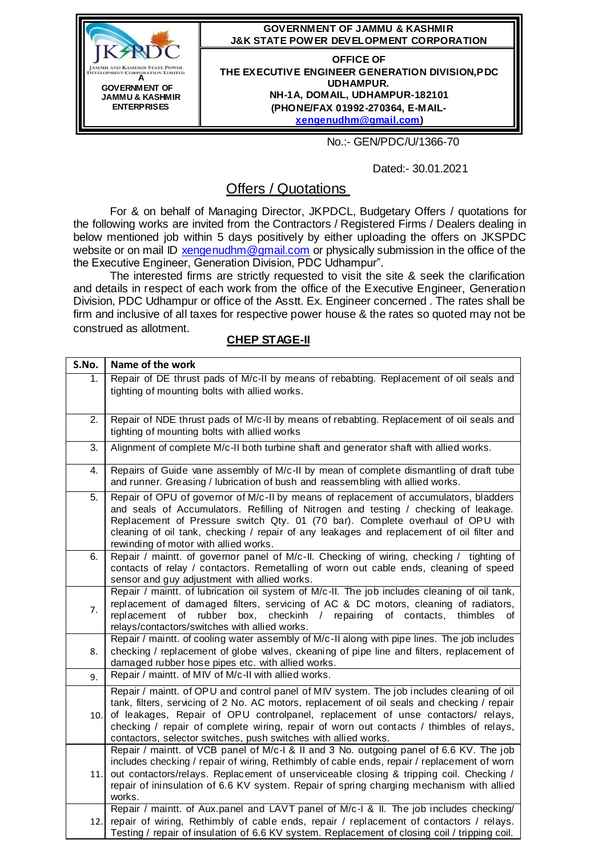

No.:- GEN/PDC/U/1366-70

Dated:- 30.01.2021

## Offers / Quotations

For & on behalf of Managing Director, JKPDCL, Budgetary Offers / quotations for the following works are invited from the Contractors / Registered Firms / Dealers dealing in below mentioned job within 5 days positively by either uploading the offers on JKSPDC website or on mail ID [xengenudhm@gmail.com](mailto:xengenudhm@gmail.com) or physically submission in the office of the the Executive Engineer, Generation Division, PDC Udhampur".

The interested firms are strictly requested to visit the site & seek the clarification and details in respect of each work from the office of the Executive Engineer, Generation Division, PDC Udhampur or office of the Asstt. Ex. Engineer concerned . The rates shall be firm and inclusive of all taxes for respective power house & the rates so quoted may not be construed as allotment.

## **CHEP STAGE-II**

| S.No. | Name of the work                                                                                                                                                                                                                                                                                                                                                                                                                           |
|-------|--------------------------------------------------------------------------------------------------------------------------------------------------------------------------------------------------------------------------------------------------------------------------------------------------------------------------------------------------------------------------------------------------------------------------------------------|
| 1.    | Repair of DE thrust pads of M/c-II by means of rebabting. Replacement of oil seals and<br>tighting of mounting bolts with allied works.                                                                                                                                                                                                                                                                                                    |
| 2.    | Repair of NDE thrust pads of M/c-II by means of rebabting. Replacement of oil seals and<br>tighting of mounting bolts with allied works                                                                                                                                                                                                                                                                                                    |
| 3.    | Alignment of complete M/c-II both turbine shaft and generator shaft with allied works.                                                                                                                                                                                                                                                                                                                                                     |
| 4.    | Repairs of Guide vane assembly of M/c-II by mean of complete dismantling of draft tube<br>and runner. Greasing / lubrication of bush and reassembling with allied works.                                                                                                                                                                                                                                                                   |
| 5.    | Repair of OPU of governor of M/c-II by means of replacement of accumulators, bladders<br>and seals of Accumulators. Refilling of Nitrogen and testing / checking of leakage.<br>Replacement of Pressure switch Qty. 01 (70 bar). Complete overhaul of OPU with<br>cleaning of oil tank, checking / repair of any leakages and replacement of oil filter and<br>rewinding of motor with allied works.                                       |
| 6.    | Repair / maintt. of governor panel of M/c-II. Checking of wiring, checking / tighting of<br>contacts of relay / contactors. Remetalling of worn out cable ends, cleaning of speed<br>sensor and guy adjustment with allied works.                                                                                                                                                                                                          |
| 7.    | Repair / maintt. of lubrication oil system of M/c-II. The job includes cleaning of oil tank,<br>replacement of damaged filters, servicing of AC & DC motors, cleaning of radiators,<br>rubber<br>box,<br>checkinh / repairing<br>of contacts,<br>replacement<br>of<br>thimbles<br>οf<br>relays/contactors/switches with allied works.                                                                                                      |
| 8.    | Repair / maintt. of cooling water assembly of M/c-II along with pipe lines. The job includes<br>checking / replacement of globe valves, ckeaning of pipe line and filters, replacement of<br>damaged rubber hose pipes etc. with allied works.                                                                                                                                                                                             |
| 9.    | Repair / maintt. of MIV of M/c-II with allied works.                                                                                                                                                                                                                                                                                                                                                                                       |
| 10.   | Repair / maintt. of OPU and control panel of MIV system. The job includes cleaning of oil<br>tank, filters, servicing of 2 No. AC motors, replacement of oil seals and checking / repair<br>of leakages, Repair of OPU controlpanel, replacement of unse contactors/ relays,<br>checking / repair of complete wiring, repair of worn out contacts / thimbles of relays,<br>contactors, selector switches, push switches with allied works. |
| 11.1  | Repair / maintt. of VCB panel of M/c-I & II and 3 No. outgoing panel of 6.6 KV. The job<br>includes checking / repair of wiring, Rethimbly of cable ends, repair / replacement of worn<br>out contactors/relays. Replacement of unserviceable closing & tripping coil. Checking /<br>repair of ininsulation of 6.6 KV system. Repair of spring charging mechanism with allied<br>works.                                                    |
| 12.1  | Repair / maintt. of Aux.panel and LAVT panel of M/c-I & II. The job includes checking/<br>repair of wiring, Rethimbly of cable ends, repair / replacement of contactors / relays.<br>Testing / repair of insulation of 6.6 KV system. Replacement of closing coil / tripping coil.                                                                                                                                                         |